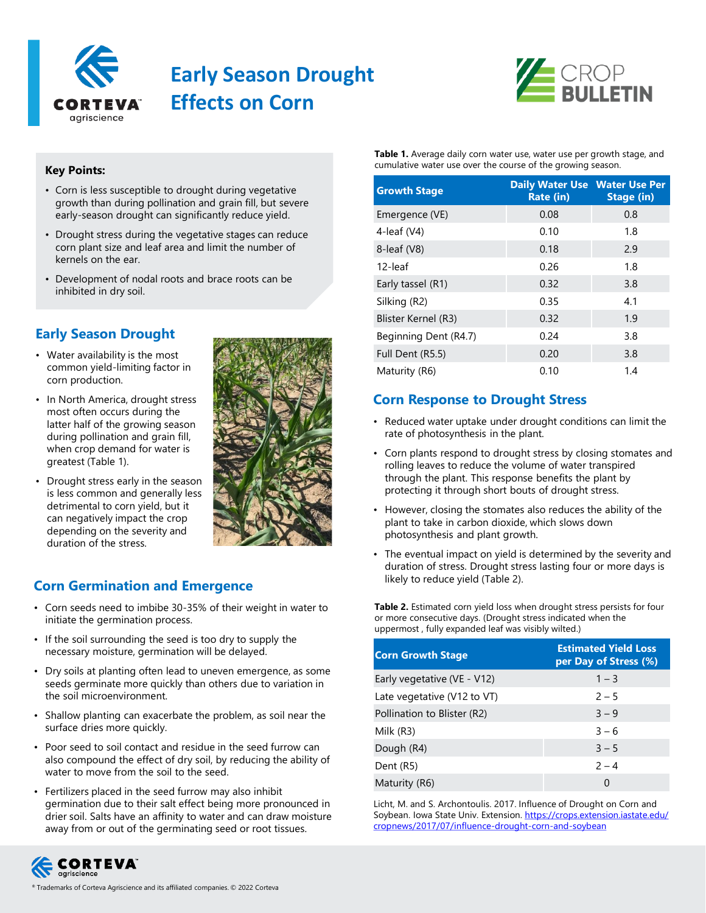

# **Early Season Drought Effects on Corn**



#### **Key Points:**

- Corn is less susceptible to drought during vegetative growth than during pollination and grain fill, but severe early-season drought can significantly reduce yield.
- Drought stress during the vegetative stages can reduce corn plant size and leaf area and limit the number of kernels on the ear.
- Development of nodal roots and brace roots can be inhibited in dry soil.

# **Early Season Drought**

- Water availability is the most common yield-limiting factor in corn production.
- In North America, drought stress most often occurs during the latter half of the growing season during pollination and grain fill, when crop demand for water is greatest (Table 1).
- Drought stress early in the season is less common and generally less detrimental to corn yield, but it can negatively impact the crop depending on the severity and duration of the stress.



### **Corn Germination and Emergence**

- Corn seeds need to imbibe 30-35% of their weight in water to initiate the germination process.
- If the soil surrounding the seed is too dry to supply the necessary moisture, germination will be delayed.
- Dry soils at planting often lead to uneven emergence, as some seeds germinate more quickly than others due to variation in the soil microenvironment.
- Shallow planting can exacerbate the problem, as soil near the surface dries more quickly.
- Poor seed to soil contact and residue in the seed furrow can also compound the effect of dry soil, by reducing the ability of water to move from the soil to the seed.
- Fertilizers placed in the seed furrow may also inhibit germination due to their salt effect being more pronounced in drier soil. Salts have an affinity to water and can draw moisture away from or out of the germinating seed or root tissues.



| <b>Growth Stage</b>   | <b>Daily Water Use Water Use Per</b><br><b>Rate (in)</b> | Stage (in) |
|-----------------------|----------------------------------------------------------|------------|
| Emergence (VE)        | 0.08                                                     | 0.8        |
| 4-leaf $(V4)$         | 0.10                                                     | 1.8        |
| 8-leaf (V8)           | 0.18                                                     | 2.9        |
| 12-leaf               | 0.26                                                     | 1.8        |
| Early tassel (R1)     | 0.32                                                     | 3.8        |
| Silking (R2)          | 0.35                                                     | 4.1        |
| Blister Kernel (R3)   | 0.32                                                     | 1.9        |
| Beginning Dent (R4.7) | 0.24                                                     | 3.8        |
| Full Dent (R5.5)      | 0.20                                                     | 3.8        |
| Maturity (R6)         | 0.10                                                     | 1.4        |

# **Corn Response to Drought Stress**

- Reduced water uptake under drought conditions can limit the rate of photosynthesis in the plant.
- Corn plants respond to drought stress by closing stomates and rolling leaves to reduce the volume of water transpired through the plant. This response benefits the plant by protecting it through short bouts of drought stress.
- However, closing the stomates also reduces the ability of the plant to take in carbon dioxide, which slows down photosynthesis and plant growth.
- The eventual impact on yield is determined by the severity and duration of stress. Drought stress lasting four or more days is likely to reduce yield (Table 2).

Table 2. Estimated corn yield loss when drought stress persists for four or more consecutive days. (Drought stress indicated when the uppermost , fully expanded leaf was visibly wilted.)

| <b>Corn Growth Stage</b>    | <b>Estimated Yield Loss</b><br>per Day of Stress (%) |
|-----------------------------|------------------------------------------------------|
| Early vegetative (VE - V12) | $1 - 3$                                              |
| Late vegetative (V12 to VT) | $2 - 5$                                              |
| Pollination to Blister (R2) | $3 - 9$                                              |
| Milk (R3)                   | $3 - 6$                                              |
| Dough (R4)                  | $3 - 5$                                              |
| Dent (R5)                   | $2 - 4$                                              |
| Maturity (R6)               | 0                                                    |

Licht, M. and S. Archontoulis. 2017. Influence of Drought on Corn and [Soybean. Iowa State Univ. Extension. https://crops.extension.iastate.edu/](https://crops.extension.iastate.edu/cropnews/2017/07/influence-drought-corn-and-soybean) cropnews/2017/07/influence-drought-corn-and-soybean